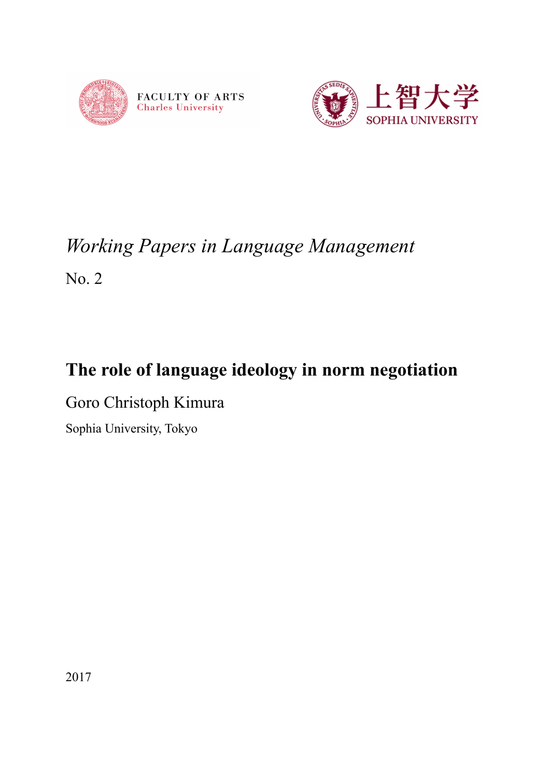



# *Working Papers in Language Management* No. 2

## **The role of language ideology in norm negotiation**

Goro Christoph Kimura

Sophia University, Tokyo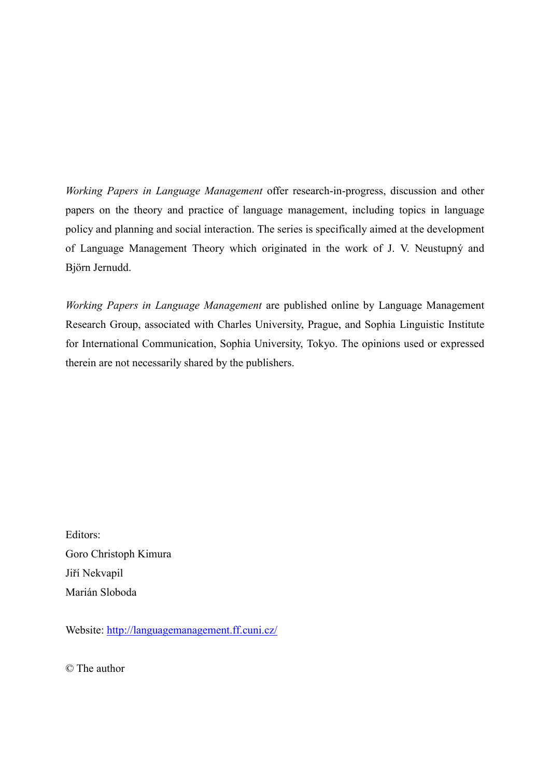*Working Papers in Language Management* offer research-in-progress, discussion and other papers on the theory and practice of language management, including topics in language policy and planning and social interaction. The series is specifically aimed at the development of Language Management Theory which originated in the work of J. V. Neustupný and Björn Jernudd.

*Working Papers in Language Management* are published online by Language Management Research Group, associated with Charles University, Prague, and Sophia Linguistic Institute for International Communication, Sophia University, Tokyo. The opinions used or expressed therein are not necessarily shared by the publishers.

Editors: Goro Christoph Kimura Jiří Nekvapil Marián Sloboda

Website: http://languagemanagement.ff.cuni.cz/

© The author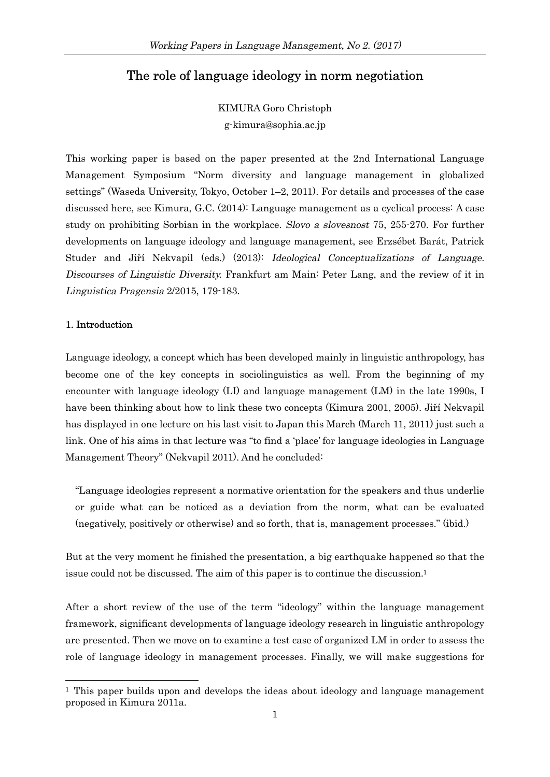### The role of language ideology in norm negotiation

KIMURA Goro Christoph g-kimura@sophia.ac.jp

This working paper is based on the paper presented at the 2nd International Language Management Symposium "Norm diversity and language management in globalized settings" (Waseda University, Tokyo, October 1–2, 2011). For details and processes of the case discussed here, see Kimura, G.C. (2014): Language management as a cyclical process: A case study on prohibiting Sorbian in the workplace. Slovo a slovesnost 75, 255-270. For further developments on language ideology and language management, see Erzsébet Barát, Patrick Studer and Jiří Nekvapil (eds.) (2013): Ideological Conceptualizations of Language. Discourses of Linguistic Diversity. Frankfurt am Main: Peter Lang, and the review of it in Linguistica Pragensia 2/2015, 179-183.

#### 1. Introduction

-

Language ideology, a concept which has been developed mainly in linguistic anthropology, has become one of the key concepts in sociolinguistics as well. From the beginning of my encounter with language ideology (LI) and language management (LM) in the late 1990s, I have been thinking about how to link these two concepts (Kimura 2001, 2005). Jiří Nekvapil has displayed in one lecture on his last visit to Japan this March (March 11, 2011) just such a link. One of his aims in that lecture was "to find a 'place' for language ideologies in Language Management Theory" (Nekvapil 2011). And he concluded:

"Language ideologies represent a normative orientation for the speakers and thus underlie or guide what can be noticed as a deviation from the norm, what can be evaluated (negatively, positively or otherwise) and so forth, that is, management processes." (ibid.)

But at the very moment he finished the presentation, a big earthquake happened so that the issue could not be discussed. The aim of this paper is to continue the discussion.<sup>1</sup>

After a short review of the use of the term "ideology" within the language management framework, significant developments of language ideology research in linguistic anthropology are presented. Then we move on to examine a test case of organized LM in order to assess the role of language ideology in management processes. Finally, we will make suggestions for

 $<sup>1</sup>$  This paper builds upon and develops the ideas about ideology and language management</sup> proposed in Kimura 2011a.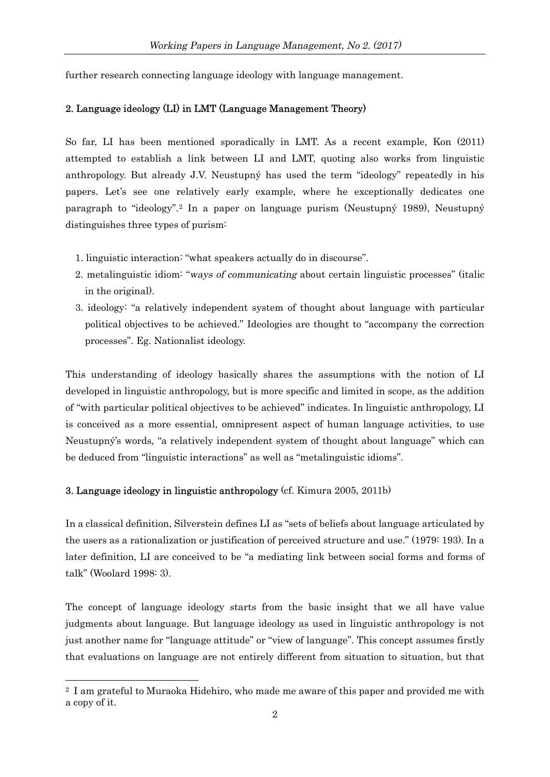further research connecting language ideology with language management.

#### 2. Language ideology (LI) in LMT (Language Management Theory)

So far, LI has been mentioned sporadically in LMT. As a recent example, Kon (2011) attempted to establish a link between LI and LMT, quoting also works from linguistic anthropology. But already J.V. Neustupný has used the term "ideology" repeatedly in his papers. Let's see one relatively early example, where he exceptionally dedicates one paragraph to "ideology".<sup>2</sup> In a paper on language purism (Neustupný 1989), Neustupný distinguishes three types of purism:

- 1. linguistic interaction: "what speakers actually do in discourse".
- 2. metalinguistic idiom: "ways of communicating about certain linguistic processes" (italic in the original).
- 3. ideology: "a relatively independent system of thought about language with particular political objectives to be achieved." Ideologies are thought to "accompany the correction processes". Eg. Nationalist ideology.

This understanding of ideology basically shares the assumptions with the notion of LI developed in linguistic anthropology, but is more specific and limited in scope, as the addition of "with particular political objectives to be achieved" indicates. In linguistic anthropology, LI is conceived as a more essential, omnipresent aspect of human language activities, to use Neustupný's words, "a relatively independent system of thought about language" which can be deduced from "linguistic interactions" as well as "metalinguistic idioms".

#### 3. Language ideology in linguistic anthropology (cf. Kimura 2005, 2011b)

-

In a classical definition, Silverstein defines LI as "sets of beliefs about language articulated by the users as a rationalization or justification of perceived structure and use." (1979: 193). In a later definition, LI are conceived to be "a mediating link between social forms and forms of talk" (Woolard 1998: 3).

The concept of language ideology starts from the basic insight that we all have value judgments about language. But language ideology as used in linguistic anthropology is not just another name for "language attitude" or "view of language". This concept assumes firstly that evaluations on language are not entirely different from situation to situation, but that

<sup>2</sup> I am grateful to Muraoka Hidehiro, who made me aware of this paper and provided me with a copy of it.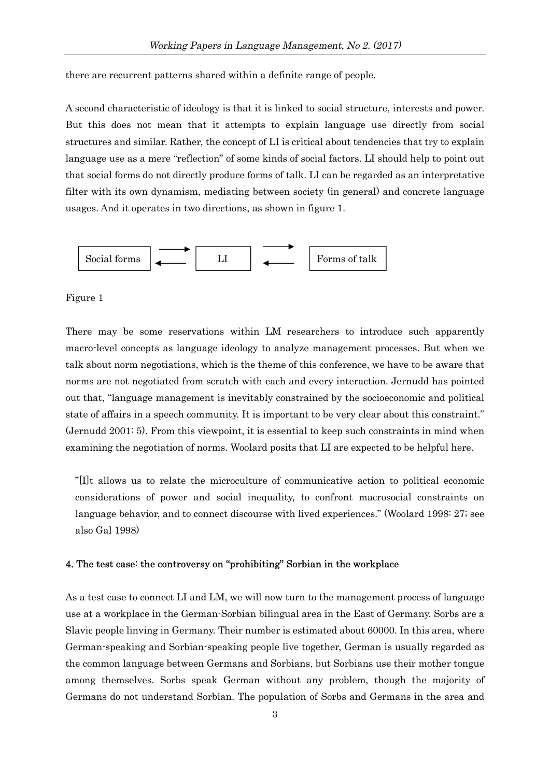there are recurrent patterns shared within a definite range of people.

A second characteristic of ideology is that it is linked to social structure, interests and power. But this does not mean that it attempts to explain language use directly from social structures and similar. Rather, the concept of LI is critical about tendencies that try to explain language use as a mere "reflection" of some kinds of social factors. LI should help to point out that social forms do not directly produce forms of talk. LI can be regarded as an interpretative filter with its own dynamism, mediating between society (in general) and concrete language usages. And it operates in two directions, as shown in figure 1.



#### Figure 1

There may be some reservations within LM researchers to introduce such apparently macro-level concepts as language ideology to analyze management processes. But when we talk about norm negotiations, which is the theme of this conference, we have to be aware that norms are not negotiated from scratch with each and every interaction. Jernudd has pointed out that, "language management is inevitably constrained by the socioeconomic and political state of affairs in a speech community. It is important to be very clear about this constraint." (Jernudd 2001: 5). From this viewpoint, it is essential to keep such constraints in mind when examining the negotiation of norms. Woolard posits that LI are expected to be helpful here.

"[I]t allows us to relate the microculture of communicative action to political economic considerations of power and social inequality, to confront macrosocial constraints on language behavior, and to connect discourse with lived experiences." (Woolard 1998: 27; see also Gal 1998)

#### 4. The test case: the controversy on "prohibiting" Sorbian in the workplace

As a test case to connect LI and LM, we will now turn to the management process of language use at a workplace in the German-Sorbian bilingual area in the East of Germany. Sorbs are a Slavic people linving in Germany. Their number is estimated about 60000. In this area, where German-speaking and Sorbian-speaking people live together, German is usually regarded as the common language between Germans and Sorbians, but Sorbians use their mother tongue among themselves. Sorbs speak German without any problem, though the majority of Germans do not understand Sorbian. The population of Sorbs and Germans in the area and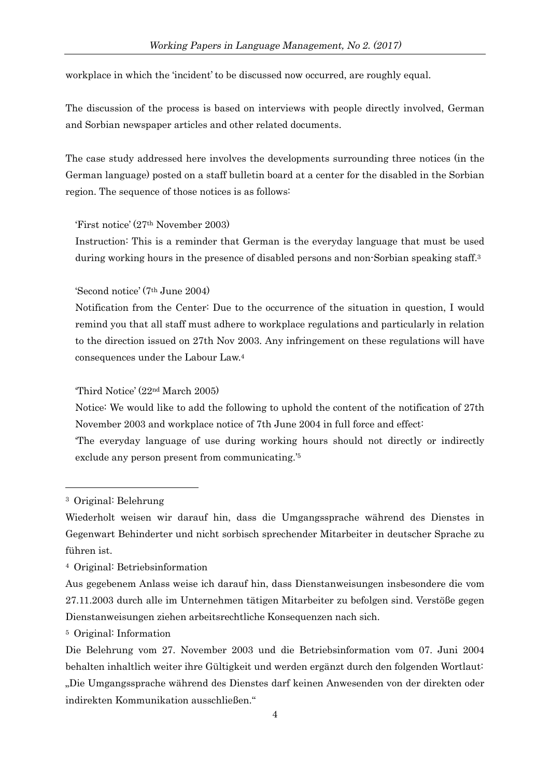workplace in which the 'incident' to be discussed now occurred, are roughly equal.

The discussion of the process is based on interviews with people directly involved, German and Sorbian newspaper articles and other related documents.

The case study addressed here involves the developments surrounding three notices (in the German language) posted on a staff bulletin board at a center for the disabled in the Sorbian region. The sequence of those notices is as follows:

#### 'First notice' (27th November 2003)

Instruction: This is a reminder that German is the everyday language that must be used during working hours in the presence of disabled persons and non-Sorbian speaking staff.<sup>3</sup>

'Second notice' (7th June 2004)

Notification from the Center: Due to the occurrence of the situation in question, I would remind you that all staff must adhere to workplace regulations and particularly in relation to the direction issued on 27th Nov 2003. Any infringement on these regulations will have consequences under the Labour Law. 4

'Third Notice' (22nd March 2005)

Notice: We would like to add the following to uphold the content of the notification of 27th November 2003 and workplace notice of 7th June 2004 in full force and effect:

'The everyday language of use during working hours should not directly or indirectly exclude any person present from communicating.'<sup>5</sup>

1

<sup>3</sup> Original: Belehrung

Wiederholt weisen wir darauf hin, dass die Umgangssprache während des Dienstes in Gegenwart Behinderter und nicht sorbisch sprechender Mitarbeiter in deutscher Sprache zu führen ist.

<sup>4</sup> Original: Betriebsinformation

Aus gegebenem Anlass weise ich darauf hin, dass Dienstanweisungen insbesondere die vom 27.11.2003 durch alle im Unternehmen tätigen Mitarbeiter zu befolgen sind. Verstöße gegen Dienstanweisungen ziehen arbeitsrechtliche Konsequenzen nach sich.

<sup>5</sup> Original: Information

Die Belehrung vom 27. November 2003 und die Betriebsinformation vom 07. Juni 2004 behalten inhaltlich weiter ihre Gültigkeit und werden ergänzt durch den folgenden Wortlaut: "Die Umgangssprache während des Dienstes darf keinen Anwesenden von der direkten oder indirekten Kommunikation ausschließen."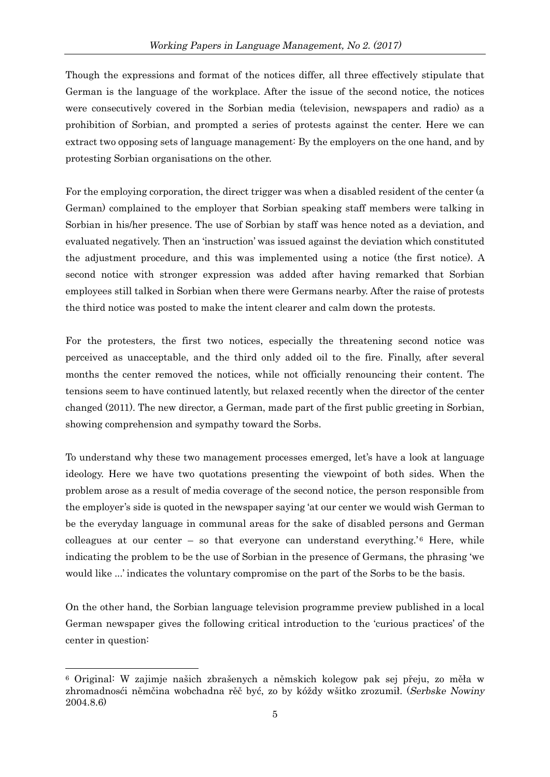Though the expressions and format of the notices differ, all three effectively stipulate that German is the language of the workplace. After the issue of the second notice, the notices were consecutively covered in the Sorbian media (television, newspapers and radio) as a prohibition of Sorbian, and prompted a series of protests against the center. Here we can extract two opposing sets of language management: By the employers on the one hand, and by protesting Sorbian organisations on the other.

For the employing corporation, the direct trigger was when a disabled resident of the center (a German) complained to the employer that Sorbian speaking staff members were talking in Sorbian in his/her presence. The use of Sorbian by staff was hence noted as a deviation, and evaluated negatively. Then an 'instruction' was issued against the deviation which constituted the adjustment procedure, and this was implemented using a notice (the first notice). A second notice with stronger expression was added after having remarked that Sorbian employees still talked in Sorbian when there were Germans nearby. After the raise of protests the third notice was posted to make the intent clearer and calm down the protests.

For the protesters, the first two notices, especially the threatening second notice was perceived as unacceptable, and the third only added oil to the fire. Finally, after several months the center removed the notices, while not officially renouncing their content. The tensions seem to have continued latently, but relaxed recently when the director of the center changed (2011). The new director, a German, made part of the first public greeting in Sorbian, showing comprehension and sympathy toward the Sorbs.

To understand why these two management processes emerged, let's have a look at language ideology. Here we have two quotations presenting the viewpoint of both sides. When the problem arose as a result of media coverage of the second notice, the person responsible from the employer's side is quoted in the newspaper saying 'at our center we would wish German to be the everyday language in communal areas for the sake of disabled persons and German colleagues at our center – so that everyone can understand everything.'<sup>6</sup> Here, while indicating the problem to be the use of Sorbian in the presence of Germans, the phrasing 'we would like ...' indicates the voluntary compromise on the part of the Sorbs to be the basis.

On the other hand, the Sorbian language television programme preview published in a local German newspaper gives the following critical introduction to the 'curious practices' of the center in question:

-

<sup>6</sup> Original: W zajimje našich zbrašenych a němskich kolegow pak sej přeju, zo měła w zhromadnosći němčina wobchadna rěč być, zo by kóždy wšitko zrozumił. (Serbske Nowiny 2004.8.6)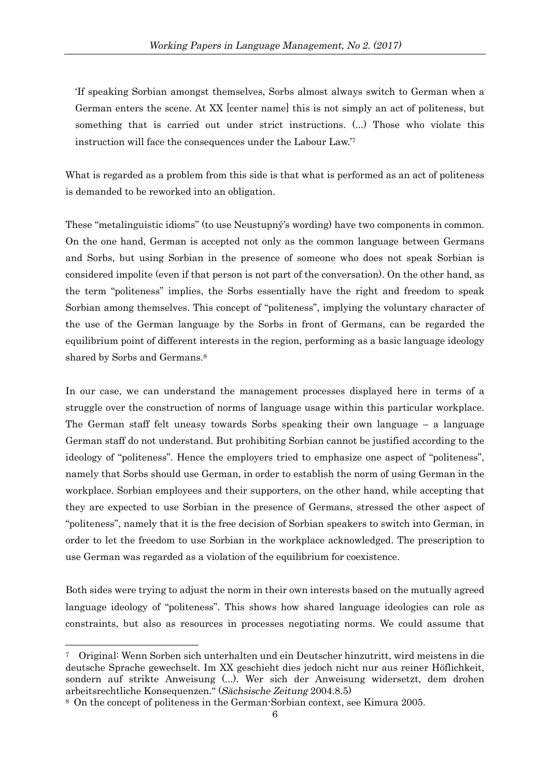'If speaking Sorbian amongst themselves, Sorbs almost always switch to German when a German enters the scene. At XX [center name] this is not simply an act of politeness, but something that is carried out under strict instructions. (...) Those who violate this instruction will face the consequences under the Labour Law.'<sup>7</sup>

What is regarded as a problem from this side is that what is performed as an act of politeness is demanded to be reworked into an obligation.

These "metalinguistic idioms" (to use Neustupný's wording) have two components in common. On the one hand, German is accepted not only as the common language between Germans and Sorbs, but using Sorbian in the presence of someone who does not speak Sorbian is considered impolite (even if that person is not part of the conversation). On the other hand, as the term "politeness" implies, the Sorbs essentially have the right and freedom to speak Sorbian among themselves. This concept of "politeness", implying the voluntary character of the use of the German language by the Sorbs in front of Germans, can be regarded the equilibrium point of different interests in the region, performing as a basic language ideology shared by Sorbs and Germans. 8

In our case, we can understand the management processes displayed here in terms of a struggle over the construction of norms of language usage within this particular workplace. The German staff felt uneasy towards Sorbs speaking their own language – a language German staff do not understand. But prohibiting Sorbian cannot be justified according to the ideology of "politeness". Hence the employers tried to emphasize one aspect of "politeness", namely that Sorbs should use German, in order to establish the norm of using German in the workplace. Sorbian employees and their supporters, on the other hand, while accepting that they are expected to use Sorbian in the presence of Germans, stressed the other aspect of "politeness", namely that it is the free decision of Sorbian speakers to switch into German, in order to let the freedom to use Sorbian in the workplace acknowledged. The prescription to use German was regarded as a violation of the equilibrium for coexistence.

Both sides were trying to adjust the norm in their own interests based on the mutually agreed language ideology of "politeness". This shows how shared language ideologies can role as constraints, but also as resources in processes negotiating norms. We could assume that

1

<sup>7</sup> Original: Wenn Sorben sich unterhalten und ein Deutscher hinzutritt, wird meistens in die deutsche Sprache gewechselt. Im XX geschieht dies jedoch nicht nur aus reiner Höflichkeit, sondern auf strikte Anweisung (...). Wer sich der Anweisung widersetzt, dem drohen arbeitsrechtliche Konsequenzen." (Sächsische Zeitung 2004.8.5)

<sup>8</sup> On the concept of politeness in the German-Sorbian context, see Kimura 2005.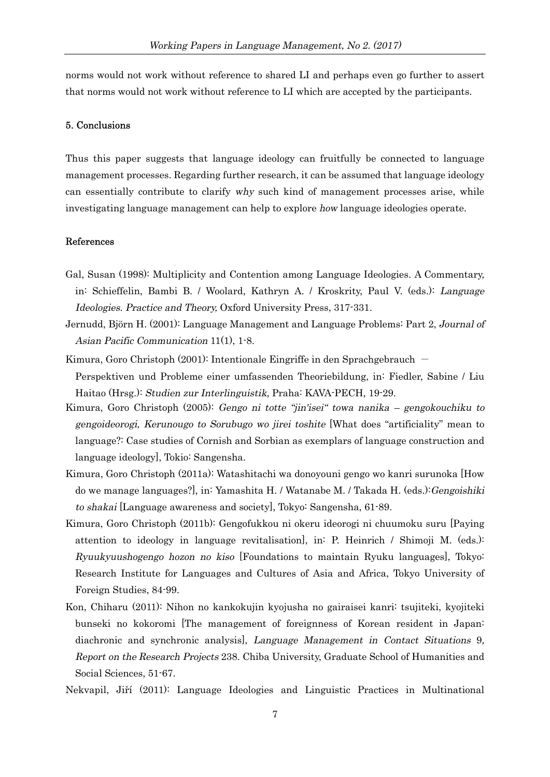norms would not work without reference to shared LI and perhaps even go further to assert that norms would not work without reference to LI which are accepted by the participants.

#### 5. Conclusions

Thus this paper suggests that language ideology can fruitfully be connected to language management processes. Regarding further research, it can be assumed that language ideology can essentially contribute to clarify why such kind of management processes arise, while investigating language management can help to explore how language ideologies operate.

#### References

- Gal, Susan (1998): Multiplicity and Contention among Language Ideologies. A Commentary, in: Schieffelin, Bambi B. / Woolard, Kathryn A. / Kroskrity, Paul V. (eds.): Language Ideologies. Practice and Theory, Oxford University Press, 317-331.
- Jernudd, Björn H. (2001): Language Management and Language Problems: Part 2, Journal of Asian Pacific Communication 11(1), 1-8.
- Kimura, Goro Christoph (2001): Intentionale Eingriffe in den Sprachgebrauch  $-$

Perspektiven und Probleme einer umfassenden Theoriebildung, in: Fiedler, Sabine / Liu Haitao (Hrsg.): Studien zur Interlinguistik, Praha: KAVA-PECH, 19-29.

- Kimura, Goro Christoph (2005): Gengo ni totte "jin'isei" towa nanika gengokouchiku to gengoideorogi, Kerunougo to Sorubugo wo jirei toshite [What does "artificiality" mean to language?: Case studies of Cornish and Sorbian as exemplars of language construction and language ideology], Tokio: Sangensha.
- Kimura, Goro Christoph (2011a): Watashitachi wa donoyouni gengo wo kanri surunoka [How do we manage languages?], in: Yamashita H. / Watanabe M. / Takada H. (eds.):Gengoishiki to shakai [Language awareness and society], Tokyo: Sangensha, 61-89.
- Kimura, Goro Christoph (2011b): Gengofukkou ni okeru ideorogi ni chuumoku suru [Paying attention to ideology in language revitalisation], in: P. Heinrich / Shimoji M. (eds.): Ryuukyuushogengo hozon no kiso [Foundations to maintain Ryuku languages], Tokyo: Research Institute for Languages and Cultures of Asia and Africa, Tokyo University of Foreign Studies, 84-99.
- Kon, Chiharu (2011): Nihon no kankokujin kyojusha no gairaisei kanri: tsujiteki, kyojiteki bunseki no kokoromi [The management of foreignness of Korean resident in Japan: diachronic and synchronic analysis], Language Management in Contact Situations 9, Report on the Research Projects 238. Chiba University, Graduate School of Humanities and Social Sciences, 51-67.
- Nekvapil, Jiří (2011): Language Ideologies and Linguistic Practices in Multinational